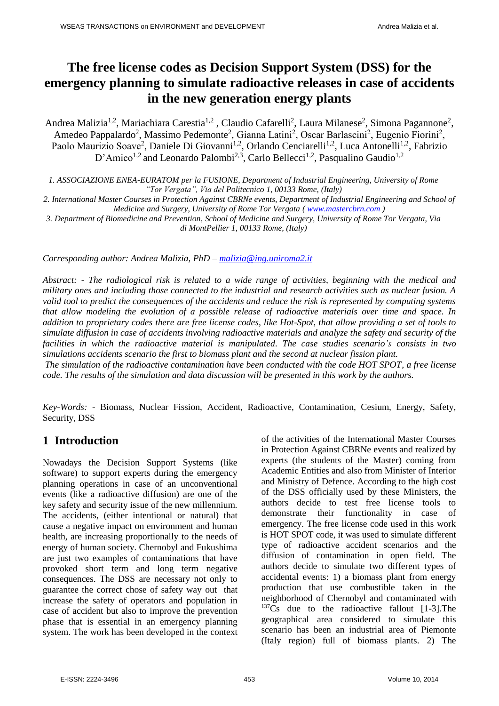# **The free license codes as Decision Support System (DSS) for the emergency planning to simulate radioactive releases in case of accidents in the new generation energy plants**

Andrea Malizia<sup>1,2</sup>, Mariachiara Carestia<sup>1,2</sup>, Claudio Cafarelli<sup>2</sup>, Laura Milanese<sup>2</sup>, Simona Pagannone<sup>2</sup>, Amedeo Pappalardo<sup>2</sup>, Massimo Pedemonte<sup>2</sup>, Gianna Latini<sup>2</sup>, Oscar Barlascini<sup>2</sup>, Eugenio Fiorini<sup>2</sup>, Paolo Maurizio Soave<sup>2</sup>, Daniele Di Giovanni<sup>1,2</sup>, Orlando Cenciarelli<sup>1,2</sup>, Luca Antonelli<sup>1,2</sup>, Fabrizio D'Amico<sup>1,2</sup> and Leonardo Palombi<sup>2,3</sup>, Carlo Bellecci<sup>1,2</sup>, Pasqualino Gaudio<sup>1,2</sup>

*1. ASSOCIAZIONE ENEA-EURATOM per la FUSIONE, Department of Industrial Engineering, University of Rome "Tor Vergata", Via del Politecnico 1, 00133 Rome, (Italy)*

*2. International Master Courses in Protection Against CBRNe events, Department of Industrial Engineering and School of Medicine and Surgery, University of Rome Tor Vergata [\( www.mastercbrn.com](http://www.mastercbrn.com/) )* 

*3. Department of Biomedicine and Prevention, School of Medicine and Surgery, University of Rome Tor Vergata, Via di MontPellier 1, 00133 Rome, (Italy)*

*Corresponding author: Andrea Malizia, PhD – [malizia@ing.uniroma2.it](mailto:malizia@ing.uniroma2.it)* 

*Abstract: - The radiological risk is related to a wide range of activities, beginning with the medical and military ones and including those connected to the industrial and research activities such as nuclear fusion. A valid tool to predict the consequences of the accidents and reduce the risk is represented by computing systems that allow modeling the evolution of a possible release of radioactive materials over time and space. In addition to proprietary codes there are free license codes, like Hot-Spot, that allow providing a set of tools to simulate diffusion in case of accidents involving radioactive materials and analyze the safety and security of the facilities in which the radioactive material is manipulated. The case studies scenario's consists in two simulations accidents scenario the first to biomass plant and the second at nuclear fission plant.* 

*The simulation of the radioactive contamination have been conducted with the code HOT SPOT, a free license code. The results of the simulation and data discussion will be presented in this work by the authors.*

*Key-Words: -* Biomass, Nuclear Fission, Accident, Radioactive, Contamination, Cesium, Energy, Safety, Security, DSS

## **1 Introduction**

Nowadays the Decision Support Systems (like software) to support experts during the emergency planning operations in case of an unconventional events (like a radioactive diffusion) are one of the key safety and security issue of the new millennium. The accidents, (either intentional or natural) that cause a negative impact on environment and human health, are increasing proportionally to the needs of energy of human society. Chernobyl and Fukushima are just two examples of contaminations that have provoked short term and long term negative consequences. The DSS are necessary not only to guarantee the correct chose of safety way out that increase the safety of operators and population in case of accident but also to improve the prevention phase that is essential in an emergency planning system. The work has been developed in the context of the activities of the International Master Courses in Protection Against CBRNe events and realized by experts (the students of the Master) coming from Academic Entities and also from Minister of Interior and Ministry of Defence. According to the high cost of the DSS officially used by these Ministers, the authors decide to test free license tools to demonstrate their functionality in case of emergency. The free license code used in this work is HOT SPOT code, it was used to simulate different type of radioactive accident scenarios and the diffusion of contamination in open field. The authors decide to simulate two different types of accidental events: 1) a biomass plant from energy production that use combustible taken in the neighborhood of Chernobyl and contaminated with  $137Cs$  due to the radioactive fallout [1-3]. The geographical area considered to simulate this scenario has been an industrial area of Piemonte (Italy region) full of biomass plants. 2) The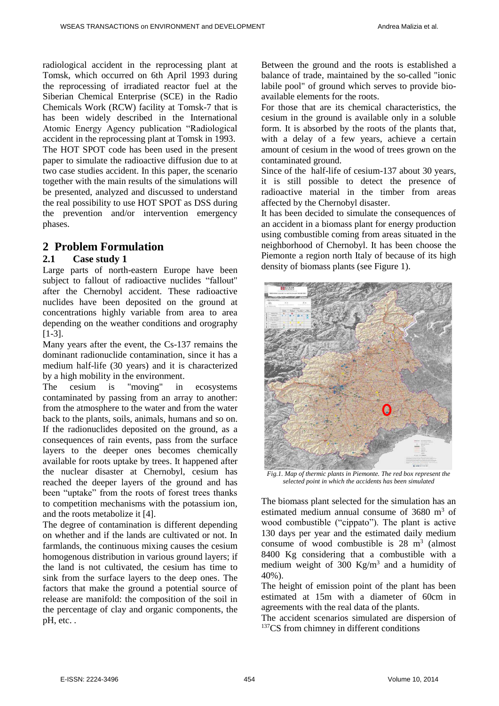radiological accident in the reprocessing plant at Tomsk, which occurred on 6th April 1993 during the reprocessing of irradiated reactor fuel at the Siberian Chemical Enterprise (SCE) in the Radio Chemicals Work (RCW) facility at Tomsk-7 that is has been widely described in the International Atomic Energy Agency publication "Radiological accident in the reprocessing plant at Tomsk in 1993. The HOT SPOT code has been used in the present paper to simulate the radioactive diffusion due to at two case studies accident. In this paper, the scenario together with the main results of the simulations will be presented, analyzed and discussed to understand the real possibility to use HOT SPOT as DSS during the prevention and/or intervention emergency phases.

## **2 Problem Formulation**

### **2.1 Case study 1**

Large parts of north-eastern Europe have been subject to fallout of radioactive nuclides "fallout" after the Chernobyl accident. These radioactive nuclides have been deposited on the ground at concentrations highly variable from area to area depending on the weather conditions and orography [1-3].

Many years after the event, the Cs-137 remains the dominant radionuclide contamination, since it has a medium half-life (30 years) and it is characterized by a high mobility in the environment.

The cesium is "moving" in ecosystems contaminated by passing from an array to another: from the atmosphere to the water and from the water back to the plants, soils, animals, humans and so on. If the radionuclides deposited on the ground, as a consequences of rain events, pass from the surface layers to the deeper ones becomes chemically available for roots uptake by trees. It happened after the nuclear disaster at Chernobyl, cesium has reached the deeper layers of the ground and has been "uptake" from the roots of forest trees thanks to competition mechanisms with the potassium ion, and the roots metabolize it [4].

The degree of contamination is different depending on whether and if the lands are cultivated or not. In farmlands, the continuous mixing causes the cesium homogenous distribution in various ground layers; if the land is not cultivated, the cesium has time to sink from the surface layers to the deep ones. The factors that make the ground a potential source of release are manifold: the composition of the soil in the percentage of clay and organic components, the pH, etc. .

Between the ground and the roots is established a balance of trade, maintained by the so-called "ionic labile pool" of ground which serves to provide bioavailable elements for the roots.

For those that are its chemical characteristics, the cesium in the ground is available only in a soluble form. It is absorbed by the roots of the plants that, with a delay of a few years, achieve a certain amount of cesium in the wood of trees grown on the contaminated ground.

Since of the half-life of cesium-137 about 30 years, it is still possible to detect the presence of radioactive material in the timber from areas affected by the Chernobyl disaster.

It has been decided to simulate the consequences of an accident in a biomass plant for energy production using combustible coming from areas situated in the neighborhood of Chernobyl. It has been choose the Piemonte a region north Italy of because of its high density of biomass plants (see Figure 1).



*Fig.1. Map of thermic plants in Piemonte. The red box represent the selected point in which the accidents has been simulated* 

The biomass plant selected for the simulation has an estimated medium annual consume of 3680 m<sup>3</sup> of wood combustible ("cippato"). The plant is active 130 days per year and the estimated daily medium consume of wood combustible is  $28 \text{ m}^3$  (almost 8400 Kg considering that a combustible with a medium weight of 300  $\text{Kg/m}^3$  and a humidity of 40%).

The height of emission point of the plant has been estimated at 15m with a diameter of 60cm in agreements with the real data of the plants.

The accident scenarios simulated are dispersion of <sup>137</sup>CS from chimney in different conditions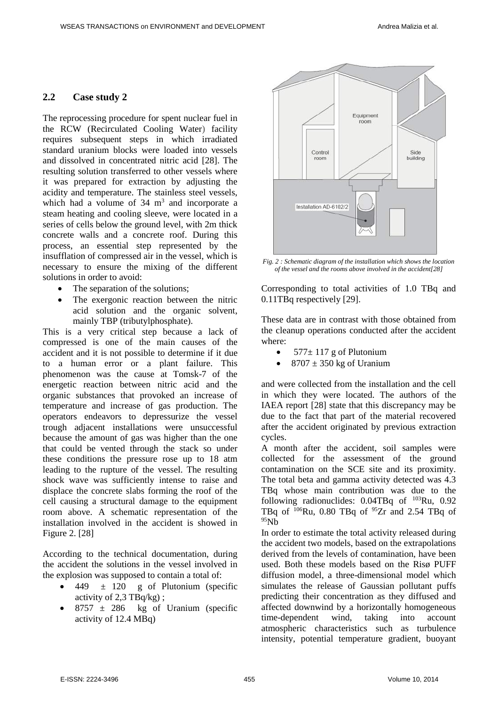### **2.2 Case study 2**

The reprocessing procedure for spent nuclear fuel in the RCW (Recirculated Cooling Water) facility requires subsequent steps in which irradiated standard uranium blocks were loaded into vessels and dissolved in concentrated nitric acid [28]. The resulting solution transferred to other vessels where it was prepared for extraction by adjusting the acidity and temperature. The stainless steel vessels, which had a volume of  $34 \text{ m}^3$  and incorporate a steam heating and cooling sleeve, were located in a series of cells below the ground level, with 2m thick concrete walls and a concrete roof. During this process, an essential step represented by the insufflation of compressed air in the vessel, which is necessary to ensure the mixing of the different solutions in order to avoid:

- The separation of the solutions;
- The exergonic reaction between the nitric acid solution and the organic solvent, mainly TBP (tributylphosphate).

This is a very critical step because a lack of compressed is one of the main causes of the accident and it is not possible to determine if it due to a human error or a plant failure. This phenomenon was the cause at Tomsk-7 of the energetic reaction between nitric acid and the organic substances that provoked an increase of temperature and increase of gas production. The operators endeavors to depressurize the vessel trough adjacent installations were unsuccessful because the amount of gas was higher than the one that could be vented through the stack so under these conditions the pressure rose up to 18 atm leading to the rupture of the vessel. The resulting shock wave was sufficiently intense to raise and displace the concrete slabs forming the roof of the cell causing a structural damage to the equipment room above. A schematic representation of the installation involved in the accident is showed in Figure 2. [28]

According to the technical documentation, during the accident the solutions in the vessel involved in the explosion was supposed to contain a total of:

- 449  $\pm$  120 g of Plutonium (specific activity of  $2.3$  TBq/kg);
- $\bullet$  8757  $\pm$  286 kg of Uranium (specific activity of 12.4 MBq)



*Fig. 2 : Schematic diagram of the installation which shows the location of the vessel and the rooms above involved in the accident[28]*

Corresponding to total activities of 1.0 TBq and 0.11TBq respectively [29].

These data are in contrast with those obtained from the cleanup operations conducted after the accident where:

- $\bullet$  577 ± 117 g of Plutonium
- $8707 \pm 350$  kg of Uranium

and were collected from the installation and the cell in which they were located. The authors of the IAEA report [28] state that this discrepancy may be due to the fact that part of the material recovered after the accident originated by previous extraction cycles.

A month after the accident, soil samples were collected for the assessment of the ground contamination on the SCE site and its proximity. The total beta and gamma activity detected was 4.3 TBq whose main contribution was due to the following radionuclides: 0.04TBq of <sup>103</sup>Ru, 0.92 TBq of  $106$ Ru, 0.80 TBq of  $95Zr$  and 2.54 TBq of  $95Nh$ 

In order to estimate the total activity released during the accident two models, based on the extrapolations derived from the levels of contamination, have been used. Both these models based on the Risø PUFF diffusion model, a three-dimensional model which simulates the release of Gaussian pollutant puffs predicting their concentration as they diffused and affected downwind by a horizontally homogeneous time-dependent wind, taking into account atmospheric characteristics such as turbulence intensity, potential temperature gradient, buoyant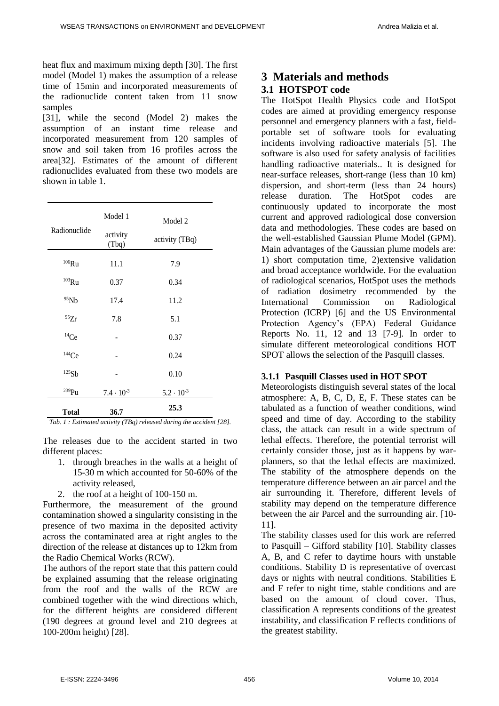heat flux and maximum mixing depth [30]. The first model (Model 1) makes the assumption of a release time of 15min and incorporated measurements of the radionuclide content taken from 11 snow samples

[31], while the second (Model 2) makes the assumption of an instant time release and incorporated measurement from 120 samples of snow and soil taken from 16 profiles across the area[32]. Estimates of the amount of different radionuclides evaluated from these two models are shown in table 1.

| Radionuclide | Model 1<br>activity<br>(Tbq) | Model 2<br>activity (TBq) |
|--------------|------------------------------|---------------------------|
| $106$ Ru     | 11.1                         | 7.9                       |
| $103$ Ru     | 0.37                         | 0.34                      |
| 95Nb         | 17.4                         | 11.2                      |
| 95Zr         | 7.8                          | 5.1                       |
| $^{14}Ce$    |                              | 0.37                      |
| 144Ce        |                              | 0.24                      |
| 125Sb        |                              | 0.10                      |
| $^{239}Pu$   | $7.4 \cdot 10^{-3}$          | $5.2 \cdot 10^{-3}$       |
| <b>Total</b> | 36.7                         | 25.3                      |

*Tab. 1 : Estimated activity (TBq) released during the accident [28].*

The releases due to the accident started in two different places:

- 1. through breaches in the walls at a height of 15-30 m which accounted for 50-60% of the activity released,
- 2. the roof at a height of 100-150 m.

Furthermore, the measurement of the ground contamination showed a singularity consisting in the presence of two maxima in the deposited activity across the contaminated area at right angles to the direction of the release at distances up to 12km from the Radio Chemical Works (RCW).

The authors of the report state that this pattern could be explained assuming that the release originating from the roof and the walls of the RCW are combined together with the wind directions which, for the different heights are considered different (190 degrees at ground level and 210 degrees at 100-200m height) [28].

## **3 Materials and methods 3.1 HOTSPOT code**

The HotSpot Health Physics code and HotSpot codes are aimed at providing emergency response personnel and emergency planners with a fast, fieldportable set of software tools for evaluating incidents involving radioactive materials [5]. The software is also used for safety analysis of facilities handling radioactive materials.. It is designed for near-surface releases, short-range (less than 10 km) dispersion, and short-term (less than 24 hours) release duration. The HotSpot codes are continuously updated to incorporate the most current and approved radiological dose conversion data and methodologies. These codes are based on the well-established Gaussian Plume Model (GPM). Main advantages of the Gaussian plume models are: 1) short computation time, 2)extensive validation and broad acceptance worldwide. For the evaluation of radiological scenarios, HotSpot uses the methods of radiation dosimetry recommended by the International Commission on Radiological Protection (ICRP) [6] and the US Environmental Protection Agency's (EPA) Federal Guidance Reports No. 11, 12 and 13 [7-9]. In order to simulate different meteorological conditions HOT SPOT allows the selection of the Pasquill classes.

#### **3.1.1 Pasquill Classes used in HOT SPOT**

Meteorologists distinguish several states of the local atmosphere: A, B, C, D, E, F. These states can be tabulated as a function of weather conditions, wind speed and time of day. According to the stability class, the attack can result in a wide spectrum of lethal effects. Therefore, the potential terrorist will certainly consider those, just as it happens by warplanners, so that the lethal effects are maximized. The stability of the atmosphere depends on the temperature difference between an air parcel and the air surrounding it. Therefore, different levels of stability may depend on the temperature difference between the air Parcel and the surrounding air. [10- 11].

The stability classes used for this work are referred to Pasquill – Gifford stability [10]. Stability classes A, B, and C refer to daytime hours with unstable conditions. Stability D is representative of overcast days or nights with neutral conditions. Stabilities E and F refer to night time, stable conditions and are based on the amount of cloud cover. Thus, classification A represents conditions of the greatest instability, and classification F reflects conditions of the greatest stability.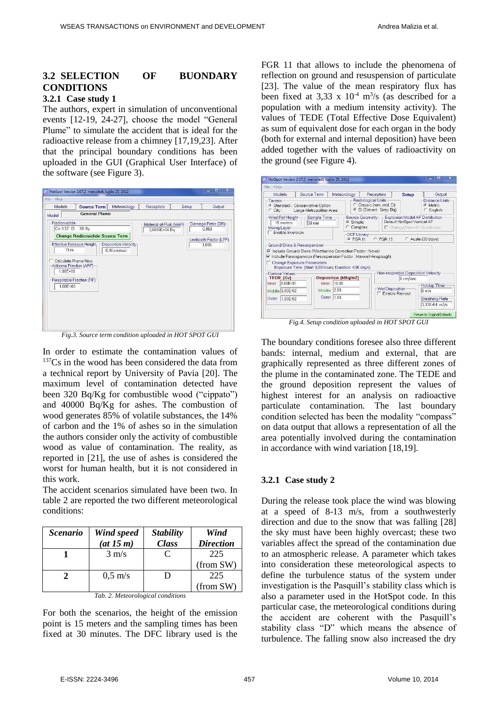## **3.2 SELECTION OF BUONDARY CONDITIONS**

### **3.2.1 Case study 1**

The authors, expert in simulation of unconventional events [12-19, 24-27], choose the model "General Plume" to simulate the accident that is ideal for the radioactive release from a chimney [17,19,23]. After that the principal boundary conditions has been uploaded in the GUI (Graphical User Interface) of the software (see Figure 3).



*Fig.3. Source term condition uploaded in HOT SPOT GUI* 

In order to estimate the contamination values of  $137Cs$  in the wood has been considered the data from a technical report by University of Pavia [20]. The maximum level of contamination detected have been 320 Bq/Kg for combustible wood ("cippato") and 40000 Bq/Kg for ashes. The combustion of wood generates 85% of volatile substances, the 14% of carbon and the 1% of ashes so in the simulation the authors consider only the activity of combustible wood as value of contamination. The reality, as reported in [21], the use of ashes is considered the worst for human health, but it is not considered in this work.

The accident scenarios simulated have been two. In table 2 are reported the two different meteorological conditions:

| <i><b>Scenario</b></i> | Wind speed<br>(at 15 m) | <b>Stability</b><br><b>Class</b> | Wind<br><b>Direction</b> |
|------------------------|-------------------------|----------------------------------|--------------------------|
|                        | $3 \text{ m/s}$         | $\subset$                        | 225<br>(from SW)         |
|                        | $0.5 \text{ m/s}$       | D                                | 225<br>(from SW)         |

*Tab. 2. Meteorological conditions* 

For both the scenarios, the height of the emission point is 15 meters and the sampling times has been fixed at 30 minutes. The DFC library used is the

FGR 11 that allows to include the phenomena of reflection on ground and resuspension of particulate [23]. The value of the mean respiratory flux has been fixed at 3,33 x  $10^{-4}$  m<sup>3</sup>/s (as described for a population with a medium intensity activity). The values of TEDE (Total Effective Dose Equivalent) as sum of equivalent dose for each organ in the body (both for external and internal deposition) have been added together with the values of radioactivity on the ground (see Figure 4).

| Models                                         | Source Term                                                                                                                                            | Meteorology                  | Receptors                                                                                       | <b>Setup</b>                | Output                                                                                    |
|------------------------------------------------|--------------------------------------------------------------------------------------------------------------------------------------------------------|------------------------------|-------------------------------------------------------------------------------------------------|-----------------------------|-------------------------------------------------------------------------------------------|
| Terrain<br>$C$ City:                           | <sup>6</sup> Standard: Conservative Option<br>Large Metropolitan Area                                                                                  |                              | Radiological Units<br>Classic (rem, rad, Ci)<br>$\sqrt{2}$<br>SI (Sievert Gray, Bq)<br>$\sigma$ |                             | Distance Units<br>C Metric<br>$C$ English                                                 |
| Wind Ref Height-<br>15 meters<br>Mixing Layer- | Sample Time<br>30 min                                                                                                                                  |                              | G Simple<br>C Complex                                                                           | Default HotSpot Vertical AF | Source Geometry - Explosion Model AF Distribution<br><b>F</b> Change/View AF Distribution |
| Enable Inversion                               | Ground Shine & Resuspension<br>V Include Ground Shine (Weathering Correction Factor: None)                                                             |                              | DCF Library<br>FGR11<br>$C$ FGR 13                                                              |                             | C Acute (30-days)                                                                         |
|                                                | ○ Include Resuspension (Resuspension Factor: Maxwell-Anspaugh)<br>Change Exposure Parameters<br>Exposure Time: (Start 0,00 hours; Duration: 4,00 days) |                              |                                                                                                 |                             |                                                                                           |
|                                                |                                                                                                                                                        |                              |                                                                                                 |                             |                                                                                           |
| Contour Values<br>TEDE (Sv)<br>Inner 1.00E-01  | Inner                                                                                                                                                  | Deposition (kBq/m2)<br>10.00 |                                                                                                 | 0 cm/sec                    | Non-respirable Deposition Velocity                                                        |

*Fig.4. Setup condition uploaded in HOT SPOT GUI* 

The boundary conditions foresee also three different bands: internal, medium and external, that are graphically represented as three different zones of the plume in the contaminated zone. The TEDE and the ground deposition represent the values of highest interest for an analysis on radioactive particulate contamination. The last boundary condition selected has been the modality "compass" on data output that allows a representation of all the area potentially involved during the contamination in accordance with wind variation [18,19].

#### **3.2.1 Case study 2**

During the release took place the wind was blowing at a speed of 8-13 m/s, from a southwesterly direction and due to the snow that was falling [28] the sky must have been highly overcast; these two variables affect the spread of the contamination due to an atmospheric release. A parameter which takes into consideration these meteorological aspects to define the turbulence status of the system under investigation is the Pasquill's stability class which is also a parameter used in the HotSpot code. In this particular case, the meteorological conditions during the accident are coherent with the Pasquill's stability class "D" which means the absence of turbulence. The falling snow also increased the dry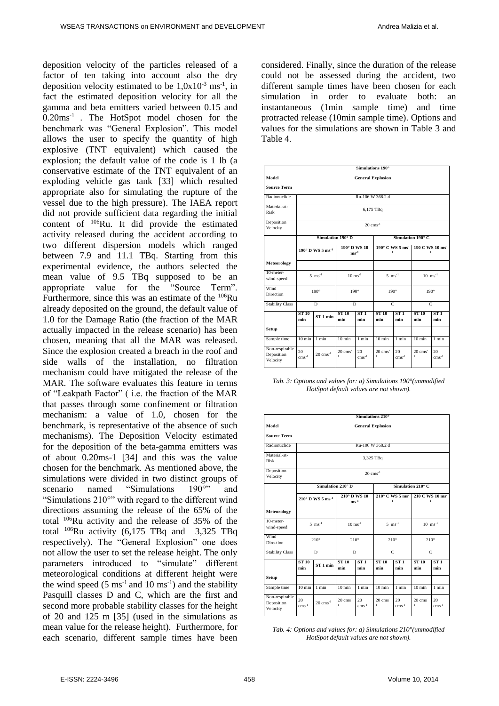deposition velocity of the particles released of a factor of ten taking into account also the dry deposition velocity estimated to be  $1,0x10^{-3}$  ms<sup>-1</sup>, in fact the estimated deposition velocity for all the gamma and beta emitters varied between 0.15 and 0.20ms-1 . The HotSpot model chosen for the benchmark was "General Explosion". This model allows the user to specify the quantity of high explosive (TNT equivalent) which caused the explosion; the default value of the code is 1 lb (a conservative estimate of the TNT equivalent of an exploding vehicle gas tank [33] which resulted appropriate also for simulating the rupture of the vessel due to the high pressure). The IAEA report did not provide sufficient data regarding the initial content of <sup>106</sup>Ru. It did provide the estimated activity released during the accident according to two different dispersion models which ranged between 7.9 and 11.1 TBq. Starting from this experimental evidence, the authors selected the mean value of 9.5 TBq supposed to be an appropriate value for the "Source Term". Furthermore, since this was an estimate of the <sup>106</sup>Ru already deposited on the ground, the default value of 1.0 for the Damage Ratio (the fraction of the MAR actually impacted in the release scenario) has been chosen, meaning that all the MAR was released. Since the explosion created a breach in the roof and side walls of the installation, no filtration mechanism could have mitigated the release of the MAR. The software evaluates this feature in terms of "Leakpath Factor" ( i.e. the fraction of the MAR that passes through some confinement or filtration mechanism: a value of 1.0, chosen for the benchmark, is representative of the absence of such mechanisms). The Deposition Velocity estimated for the deposition of the beta-gamma emitters was of about 0.20ms-1 [34] and this was the value chosen for the benchmark. As mentioned above, the simulations were divided in two distinct groups of<br>scenario named "Simulations 190°" and scenario named "Simulations 190°" and "Simulations 210°" with regard to the different wind directions assuming the release of the 65% of the total <sup>106</sup>Ru activity and the release of 35% of the total  $^{106}$ Ru activity (6,175 TBq and 3,325 TBq respectively). The "General Explosion" one does not allow the user to set the release height. The only parameters introduced to "simulate" different meteorological conditions at different height were the wind speed  $(5 \text{ ms}^{-1} \text{ and } 10 \text{ ms}^{-1})$  and the stability Pasquill classes D and C, which are the first and second more probable stability classes for the height of 20 and 125 m [35] (used in the simulations as mean value for the release height). Furthermore, for each scenario, different sample times have been considered. Finally, since the duration of the release could not be assessed during the accident, two different sample times have been chosen for each simulation in order to evaluate both: an instantaneous (1min sample time) and time protracted release (10min sample time). Options and values for the simulations are shown in Table 3 and Table 4.

|                                          |                                               |                                        |                                                    | Simulations 190°                            |                           |                                                     |                                                    |                       |
|------------------------------------------|-----------------------------------------------|----------------------------------------|----------------------------------------------------|---------------------------------------------|---------------------------|-----------------------------------------------------|----------------------------------------------------|-----------------------|
| Model                                    |                                               |                                        |                                                    |                                             | <b>General Explosion</b>  |                                                     |                                                    |                       |
| <b>Source Term</b>                       |                                               |                                        |                                                    |                                             |                           |                                                     |                                                    |                       |
| Radionuclide                             |                                               | Ru-106 W 368.2 d                       |                                                    |                                             |                           |                                                     |                                                    |                       |
| Material-at-<br>Risk                     |                                               | 6,175 TBq                              |                                                    |                                             |                           |                                                     |                                                    |                       |
| Deposition<br>Velocity                   |                                               | $20 \text{ cm} \text{s}^{-1}$          |                                                    |                                             |                           |                                                     |                                                    |                       |
|                                          |                                               | Simulation 190° D<br>Simulation 190° C |                                                    |                                             |                           |                                                     |                                                    |                       |
|                                          | $190^\circ$ D WS 5 ms <sup>-1</sup><br>$me-1$ |                                        |                                                    | 190° D WS 10                                |                           | $190^\circ$ C WS 5 ms <sup>-1</sup><br>$\mathbf{1}$ | 190 C WS 10 ms<br>$\mathbf{1}$                     |                       |
| <b>Meteorology</b>                       |                                               |                                        |                                                    |                                             |                           |                                                     |                                                    |                       |
| 10-meter-<br>wind-speed                  |                                               | $5 \text{ ms}^{-1}$                    |                                                    | $10 \text{ ms}^{-1}$<br>$5 \text{ ms}^{-1}$ |                           |                                                     |                                                    | $10$ ms <sup>-1</sup> |
| Wind<br><b>Direction</b>                 | $190^\circ$                                   |                                        |                                                    | $190^\circ$                                 |                           | $190^\circ$                                         | $190^\circ$                                        |                       |
| <b>Stability Class</b>                   | D                                             |                                        | D                                                  |                                             |                           | $\overline{C}$                                      |                                                    | $\overline{C}$        |
|                                          | <b>ST 10</b><br>min                           | $ST1$ min                              | <b>ST 10</b><br>min                                | ST1<br>min                                  | <b>ST 10</b><br>min       | ST1<br>min                                          | <b>ST 10</b><br>min                                | ST1<br>min            |
| <b>Setup</b>                             |                                               |                                        |                                                    |                                             |                           |                                                     |                                                    |                       |
| Sample time                              | $10 \text{ min}$                              | 1 min                                  | $10 \text{ min}$                                   | 1 min                                       | $10 \text{ min}$          | 1 min                                               | $10 \text{ min}$                                   | $1$ min               |
| Non-respirable<br>Deposition<br>Velocity | 20<br>$\mathrm{cm}\mathrm{s}^{-1}$            | $20$ cms <sup>-1</sup>                 | $20$ cms <sup><math>-</math></sup><br>$\mathbf{L}$ | 20<br>$cms^{-1}$                            | 20 cms <sup>-</sup><br>I. | 20<br>$cms^{-1}$                                    | $20$ cms <sup><math>-</math></sup><br>$\mathbf{1}$ | 20<br>$\rm cm s^{-1}$ |

*Tab. 3: Options and values for: a) Simulations 190°(unmodified HotSpot default values are not shown).* 

|                                          |                                      |                                        |                          | Simulations 210°          |                                       |                                         |                        |                                |  |
|------------------------------------------|--------------------------------------|----------------------------------------|--------------------------|---------------------------|---------------------------------------|-----------------------------------------|------------------------|--------------------------------|--|
| Model                                    |                                      | <b>General Explosion</b>               |                          |                           |                                       |                                         |                        |                                |  |
| <b>Source Term</b>                       |                                      |                                        |                          |                           |                                       |                                         |                        |                                |  |
| Radionuclide                             |                                      | Ru-106 W 368.2 d                       |                          |                           |                                       |                                         |                        |                                |  |
| Material-at-<br>Risk                     |                                      | 3,325 TBq                              |                          |                           |                                       |                                         |                        |                                |  |
| Deposition<br>Velocity                   |                                      | $20 \text{ cm s}^{-1}$                 |                          |                           |                                       |                                         |                        |                                |  |
|                                          |                                      | Simulation 210° C<br>Simulation 210° D |                          |                           |                                       |                                         |                        |                                |  |
|                                          |                                      | $210^\circ$ D WS 5 ms <sup>-1</sup>    |                          | 210° D WS 10<br>$ms^{-1}$ |                                       | $210^{\circ}$ C WS 5 ms<br>$\mathbf{1}$ |                        | 210 C WS 10 ms<br>$\mathbf{1}$ |  |
| <b>Meteorology</b>                       |                                      |                                        |                          |                           |                                       |                                         |                        |                                |  |
| 10-meter-<br>wind-speed                  |                                      | $5$ ms <sup>-1</sup>                   | $10$ ms <sup>-1</sup>    |                           | $5$ ms <sup>-1</sup>                  |                                         | $10 \text{ ms}^{-1}$   |                                |  |
| Wind<br>Direction                        |                                      | $210^\circ$                            | $210^\circ$              |                           |                                       | $210^\circ$                             |                        | $210^\circ$                    |  |
| <b>Stability Class</b>                   | $\overline{D}$                       |                                        | $\overline{D}$           |                           | $\overline{C}$                        |                                         | $\overline{C}$         |                                |  |
|                                          | <b>ST 10</b><br>min                  | ST <sub>1</sub> min                    | <b>ST 10</b><br>min      | ST1<br>min                | <b>ST 10</b><br>min                   | ST1<br>min                              | <b>ST 10</b><br>min    | ST1<br>min                     |  |
| <b>Setup</b>                             |                                      |                                        |                          |                           |                                       |                                         |                        |                                |  |
| Sample time                              | $10 \text{ min}$                     | $1$ min                                | $10 \text{ min}$         | 1 min                     | $10 \text{ min}$                      | 1 min                                   | $10 \text{ min}$       | $1$ min                        |  |
| Non-respirable<br>Deposition<br>Velocity | 20<br>$\mathrm{cm}\,\mathrm{s}^{-1}$ | $20$ cms <sup>-1</sup>                 | 20 cms <sup>-</sup><br>1 | 20<br>$cms^{-1}$          | $20$ cms <sup>-</sup><br>$\mathbf{1}$ | 20<br>$cms^{-1}$                        | 20 cms<br>$\mathbf{1}$ | 20<br>$cms^{-1}$               |  |

*Tab. 4: Options and values for: a) Simulations 210°(unmodified HotSpot default values are not shown).*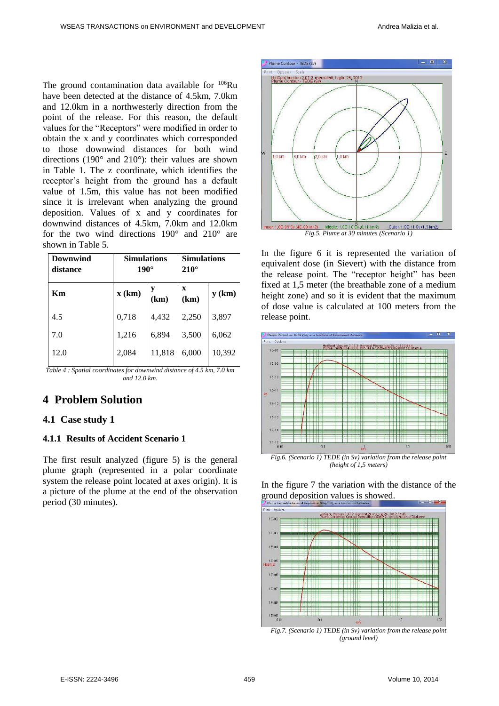The ground contamination data available for <sup>106</sup>Ru have been detected at the distance of 4.5km, 7.0km and 12.0km in a northwesterly direction from the point of the release. For this reason, the default values for the "Receptors" were modified in order to obtain the x and y coordinates which corresponded to those downwind distances for both wind directions (190° and 210°): their values are shown in Table 1. The z coordinate, which identifies the receptor's height from the ground has a default value of 1.5m, this value has not been modified since it is irrelevant when analyzing the ground deposition. Values of x and y coordinates for downwind distances of 4.5km, 7.0km and 12.0km for the two wind directions 190° and 210° are shown in Table 5.

| Downwind<br>distance | <b>Simulations</b><br>$190^\circ$ |        | <b>Simulations</b><br>$210^\circ$ |          |
|----------------------|-----------------------------------|--------|-----------------------------------|----------|
| Кm                   | x (km)                            | (km)   | $\mathbf x$<br>(km)               | $y$ (km) |
| 4.5                  | 0,718                             | 4,432  | 2,250                             | 3,897    |
| 7.0                  | 1,216                             | 6,894  | 3,500                             | 6,062    |
| 12.0                 | 2,084                             | 11,818 | 6,000                             | 10,392   |

*Table 4 : Spatial coordinates for downwind distance of 4.5 km, 7.0 km and 12.0 km.* 

## **4 Problem Solution**

### **4.1 Case study 1**

### **4.1.1 Results of Accident Scenario 1**

The first result analyzed (figure 5) is the general plume graph (represented in a polar coordinate system the release point located at axes origin). It is a picture of the plume at the end of the observation period (30 minutes).



In the figure 6 it is represented the variation of equivalent dose (in Sievert) with the distance from the release point. The "receptor height" has been fixed at 1,5 meter (the breathable zone of a medium height zone) and so it is evident that the maximum of dose value is calculated at 100 meters from the release point.





In the figure 7 the variation with the distance of the ground deposition values is showed.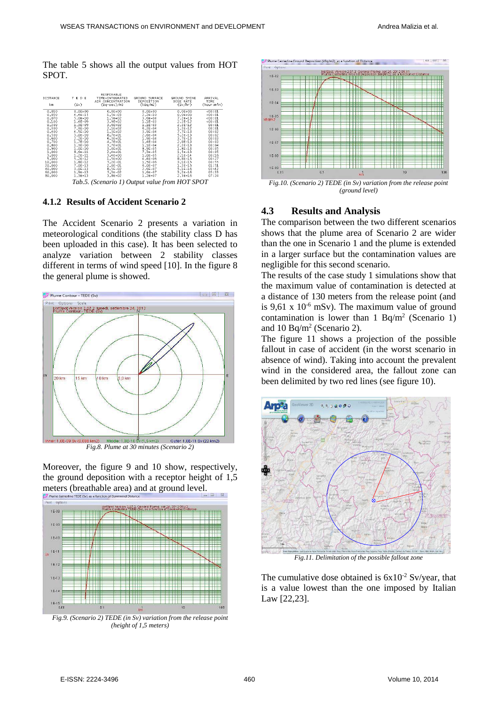The table 5 shows all the output values from HOT SPOT.

| DISTANCE<br>km                                                                                                                                                                        | TEDE<br>(SV)                                                                                                                                                                                                                                                           | RESPIRABLE<br>TIME-INTEGRATED<br>AIR CONCENTRATION<br>$(Bq-sec)/m3$                                                                                                                                                                                                                          | GROUND SURFACE<br>DEPOSITION<br>(kBq/m2)                                                                                                                                                                                                                                           | GROUND SHINE<br>DOSE RATE<br>(Sv/hr)                                                                                                                                                                                                                                            | ARRIVAL<br>TIME<br>(hour:min)                                                                                                                                                      |
|---------------------------------------------------------------------------------------------------------------------------------------------------------------------------------------|------------------------------------------------------------------------------------------------------------------------------------------------------------------------------------------------------------------------------------------------------------------------|----------------------------------------------------------------------------------------------------------------------------------------------------------------------------------------------------------------------------------------------------------------------------------------------|------------------------------------------------------------------------------------------------------------------------------------------------------------------------------------------------------------------------------------------------------------------------------------|---------------------------------------------------------------------------------------------------------------------------------------------------------------------------------------------------------------------------------------------------------------------------------|------------------------------------------------------------------------------------------------------------------------------------------------------------------------------------|
| 0.010<br>0,030<br>0,070<br>0.100<br>0,200<br>0,300<br>0.400<br>0.500<br>0,600<br>0.700<br>0.800<br>0,900<br>1,000<br>3.000<br>5,000<br>10,000<br>20,000<br>40.000<br>60,000<br>80,000 | $0.0E + 00$<br>$4,4E-15$<br>$5.0E - 10$<br>$1.4E - 09$<br>$1, 3E-09$<br>$7.3E - 10$<br>$4, 5E-10$<br>3.0E-10<br>$2,2E-10$<br>$1.7E-10$<br>$1, 3E-10$<br>$1.0E-10$<br>$8,6E-11$<br>$1, 2E-11$<br>$5.2E-12$<br>$1,8E-12$<br>$7.0E-13$<br>$3.0E-13$<br>1.9E-13<br>1,3E-13 | $0.0E + 00$<br>$1, 5E-03$<br>$1.5E + 02$<br>$3.9E + 02$<br>3,6E+02<br>$2.1E + 02$<br>$1.3E + 02$<br>$8.7E + 01$<br>$6, 3E + 01$<br>4,7E+01<br>$3.7E + 01$<br>$3.0E + 01$<br>$2.4E + 01$<br>$3.4E + 00$<br>$1.5E + 00$<br>$5,2E-01$<br>$2.0E - 01$<br>$8.5E - 02$<br>$5.3E - 02$<br>$3,8E-02$ | $0.0E + 00$<br>$2,2E-10$<br>$3.6E - 04$<br>$1.1E-03$<br>$1,1E-03$<br>$6, 2E - 04$<br>$3.9E - 04$<br>$2.6E - 04$<br>$1, 9E-04$<br>$1,4E-04$<br>$1.1E-04$<br>$8,9E-05$<br>$7.3E-05$<br>$1.0E-05$<br>$4.4E - 06$<br>$1, 5E-06$<br>$6,0E-07$<br>$2.6E - 07$<br>$1.6E-07$<br>$1, 2E-07$ | $0.0E + 00$<br>$0,0E+00$<br>$7.2E - 13$<br>$2.2E-12$<br>$2, 2E-12$<br>$1.2E-12$<br>$7.7E-13$<br>$5.2E - 13$<br>$3.7E-13$<br>$2.8E - 13$<br>$2.2E-13$<br>$1.8E-13$<br>$1.5E-13$<br>$2.1E-14$<br>$8.8E - 15$<br>$3,1E-15$<br>$1.2E - 15$<br>$5.1E-16$<br>$3.2E - 16$<br>$2.3E-16$ | <00:01<br><00:01<br>00:01<br>00:01<br>00:01<br>00:01<br>00:02<br>00:02<br>00:03<br>00:03<br>00:04<br>00:05<br>00:05<br>00:16<br>00:27<br>00:55<br>01:51<br>03:42<br>05:33<br>07:24 |
|                                                                                                                                                                                       | $T1$ $T/2$                                                                                                                                                                                                                                                             | $\cdots$                                                                                                                                                                                                                                                                                     | $\epsilon$<br>$\mathbf{r}$<br>$\sim$                                                                                                                                                                                                                                               | $\mathbf{r}$ and $\alpha$ and $\alpha$ and $\alpha$                                                                                                                                                                                                                             |                                                                                                                                                                                    |

*Tab.5. (Scenario 1) Output value from HOT SPOT* 

#### **4.1.2 Results of Accident Scenario 2**

The Accident Scenario 2 presents a variation in meteorological conditions (the stability class D has been uploaded in this case). It has been selected to analyze variation between 2 stability classes different in terms of wind speed [10]. In the figure 8 the general plume is showed.



*Fig.8. Plume at 30 minutes (Scenario 2)* 

Moreover, the figure 9 and 10 show, respectively, the ground deposition with a receptor height of 1,5 meters (breathable area) and at ground level.



*Fig.9. (Scenario 2) TEDE (in Sv) variation from the release point (height of 1,5 meters)* 



*Fig.10. (Scenario 2) TEDE (in Sv) variation from the release point (ground level)* 

#### **4.3 Results and Analysis**

The comparison between the two different scenarios shows that the plume area of Scenario 2 are wider than the one in Scenario 1 and the plume is extended in a larger surface but the contamination values are negligible for this second scenario.

The results of the case study 1 simulations show that the maximum value of contamination is detected at a distance of 130 meters from the release point (and is 9,61 x  $10^{-6}$  mSv). The maximum value of ground contamination is lower than  $1 \text{ Bq/m}^2$  (Scenario 1) and 10 Bq/m<sup>2</sup> (Scenario 2).

The figure 11 shows a projection of the possible fallout in case of accident (in the worst scenario in absence of wind). Taking into account the prevalent wind in the considered area, the fallout zone can been delimited by two red lines (see figure 10).



*Fig.11. Delimitation of the possible fallout zone* 

The cumulative dose obtained is  $6x10^{-2}$  Sv/year, that is a value lowest than the one imposed by Italian Law [22,23].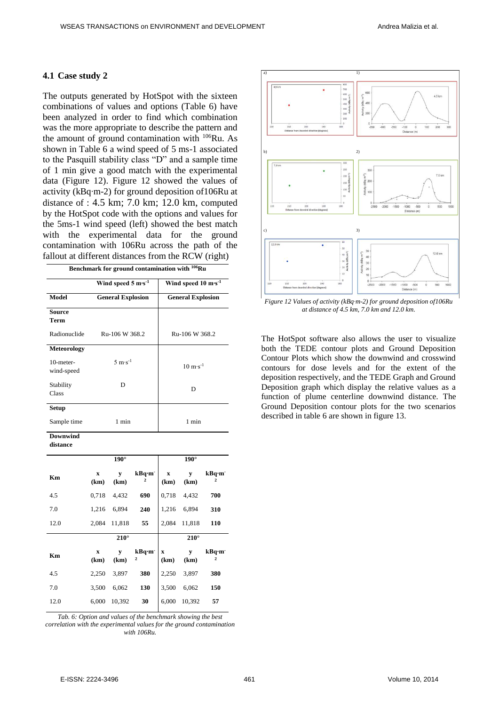#### **4.1 Case study 2**

The outputs generated by HotSpot with the sixteen combinations of values and options (Table 6) have been analyzed in order to find which combination was the more appropriate to describe the pattern and the amount of ground contamination with <sup>106</sup>Ru. As shown in Table 6 a wind speed of 5 ms-1 associated to the Pasquill stability class "D" and a sample time of 1 min give a good match with the experimental data (Figure 12). Figure 12 showed the values of activity (kBq∙m-2) for ground deposition of106Ru at distance of : 4.5 km; 7.0 km; 12.0 km, computed by the HotSpot code with the options and values for the 5ms-1 wind speed (left) showed the best match with the experimental data for the ground contamination with 106Ru across the path of the fallout at different distances from the RCW (right)

| Benchmark for ground contamination with <sup>106</sup> Ru |  |  |
|-----------------------------------------------------------|--|--|
|-----------------------------------------------------------|--|--|

|                            | Wind speed $5 \text{ m} \cdot \text{s}^{-1}$ | Wind speed 10 m·s <sup>-1</sup>    |
|----------------------------|----------------------------------------------|------------------------------------|
| Model                      | <b>General Explosion</b>                     | <b>General Explosion</b>           |
| Source<br>Term             |                                              |                                    |
| Radionuclide               | Ru-106 W 368.2                               | Ru-106 W 368.2                     |
| <b>Meteorology</b>         |                                              |                                    |
| $10$ -meter-<br>wind-speed | $5 \text{ m} \cdot \text{s}^{-1}$            | $10 \text{ m} \cdot \text{s}^{-1}$ |
| Stability<br><b>Class</b>  | D                                            | D                                  |
| Setup                      |                                              |                                    |
| Sample time                | 1 min                                        | 1 min                              |

**Downwind** 

**distance**

|      |                                   | $190^\circ$ |                         |           | $190^\circ$ |                                      |
|------|-----------------------------------|-------------|-------------------------|-----------|-------------|--------------------------------------|
| Кm   | $\mathbf x$<br>(km)               | y<br>(km)   | kBq·m <sup>-</sup><br>2 | X<br>(km) | y<br>(km)   | kBq·m<br>2                           |
| 4.5  | 0.718                             | 4,432       | 690                     | 0,718     | 4,432       | 700                                  |
| 7.0  | 1,216                             | 6,894       | 240                     | 1,216     | 6,894       | 310                                  |
| 12.0 | 2,084                             | 11,818      | 55                      | 2,084     | 11,818      | 110                                  |
|      |                                   | $210^\circ$ |                         |           | $210^\circ$ |                                      |
|      |                                   |             |                         |           |             |                                      |
| Km   | $\boldsymbol{\mathrm{X}}$<br>(km) | y<br>(km)   | kBq·m <sup>-</sup><br>2 | X<br>(km) | y<br>(km)   | kBq·m <sup>-</sup><br>$\overline{2}$ |
| 4.5  | 2,250                             | 3,897       | 380                     | 2,250     | 3,897       | 380                                  |
| 7.0  | 3,500                             | 6,062       | 130                     | 3,500     | 6,062       | 150                                  |

*Tab. 6: Option and values of the benchmark showing the best correlation with the experimental values for the ground contamination with 106Ru.*



*Figure 12 Values of activity (kBq∙m-2) for ground deposition of106Ru*  at distance of  $4.5$  km,  $7.0$  km and  $12.0$  km.

The HotSpot software also allows the user to visualize both the TEDE contour plots and Ground Deposition Contour Plots which show the downwind and crosswind contours for dose levels and for the extent of the deposition respectively, and the TEDE Graph and Ground Deposition graph which display the relative values as a function of plume centerline downwind distance. The Ground Deposition contour plots for the two scenarios described in table 6 are shown in figure 13.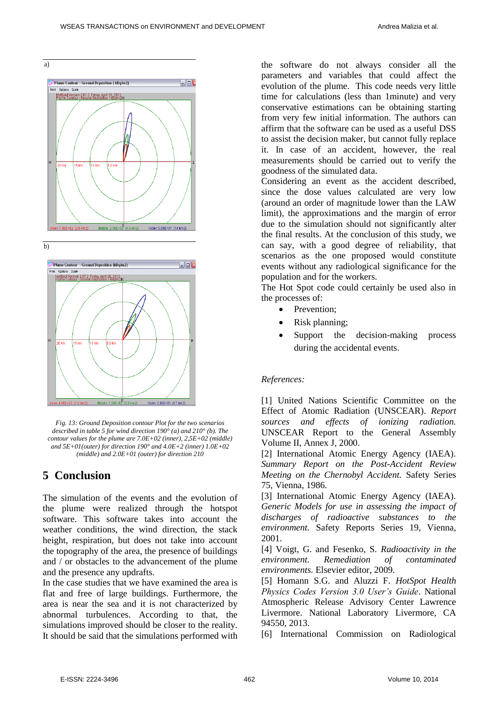a)



*Fig. 13: Ground Deposition contour Plot for the two scenarios described in table 5 for wind direction 190° (a) and 210° (b). The contour values for the plume are 7.0E+02 (inner), 2,5E+02 (middle) and 5E+01(outer) for direction 190° and 4.0E+2 (inner) 1.0E+02 (middle) and 2.0E+01 (outer) for direction 210* 

Outer: 2.00E+01 (17 km2)

Middle:  $1.00E + 0.2 (5.8 \text{ km})$ 

## **5 Conclusion**

er: 4.00E+02 (1.9 km2)

The simulation of the events and the evolution of the plume were realized through the hotspot software. This software takes into account the weather conditions, the wind direction, the stack height, respiration, but does not take into account the topography of the area, the presence of buildings and / or obstacles to the advancement of the plume and the presence any updrafts.

In the case studies that we have examined the area is flat and free of large buildings. Furthermore, the area is near the sea and it is not characterized by abnormal turbulences. According to that, the simulations improved should be closer to the reality. It should be said that the simulations performed with the software do not always consider all the parameters and variables that could affect the evolution of the plume. This code needs very little time for calculations (less than 1minute) and very conservative estimations can be obtaining starting from very few initial information. The authors can affirm that the software can be used as a useful DSS to assist the decision maker, but cannot fully replace it. In case of an accident, however, the real measurements should be carried out to verify the goodness of the simulated data.

Considering an event as the accident described, since the dose values calculated are very low (around an order of magnitude lower than the LAW limit), the approximations and the margin of error due to the simulation should not significantly alter the final results. At the conclusion of this study, we can say, with a good degree of reliability, that scenarios as the one proposed would constitute events without any radiological significance for the population and for the workers.

The Hot Spot code could certainly be used also in the processes of:

- Prevention:
- Risk planning;
- Support the decision-making process during the accidental events.

#### *References:*

[1] United Nations Scientific Committee on the Effect of Atomic Radiation (UNSCEAR). *Report sources and effects of ionizing radiation.* UNSCEAR Report to the General Assembly Volume II, Annex J, 2000.

[2] International Atomic Energy Agency (IAEA). *Summary Report on the Post-Accident Review Meeting on the Chernobyl Accident.* Safety Series 75, Vienna, 1986.

[3] International Atomic Energy Agency (IAEA). *Generic Models for use in assessing the impact of discharges of radioactive substances to the environment.* Safety Reports Series 19, Vienna, 2001.

[4] Voigt, G. and Fesenko, S. *Radioactivity in the environment. Remediation of contaminated environments.* Elsevier editor, 2009.

[5] Homann S.G. and Aluzzi F. *HotSpot Health Physics Codes Version 3.0 User's Guide*. National Atmospheric Release Advisory Center Lawrence Livermore. National Laboratory Livermore, CA 94550, 2013.

[6] International Commission on Radiological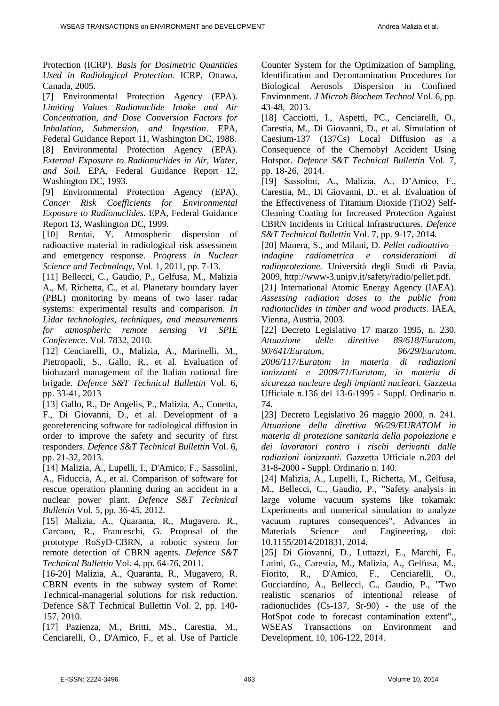Protection (ICRP). *Basis for Dosimetric Quantities Used in Radiological Protection.* ICRP, Ottawa, Canada, 2005.

[7] Environmental Protection Agency (EPA). *Limiting Values Radionuclide Intake and Air Concentration, and Dose Conversion Factors for Inhalation, Submersion, and Ingestion*. EPA, Federal Guidance Report 11, Washington DC, 1988. [8] Environmental Protection Agency (EPA). *External Exposure to Radionuclides in Air, Water, and Soil.* EPA, Federal Guidance Report 12, Washington DC, 1993.

[9] Environmental Protection Agency (EPA). *Cancer Risk Coefficients for Environmental Exposure to Radionuclides*. EPA, Federal Guidance Report 13, Washington DC, 1999.

[10] Rentai, Y. Atmospheric dispersion of radioactive material in radiological risk assessment and emergency response. *Progress in Nuclear Science and Technology*, Vol. 1, 2011, pp. 7-13.

[11] Bellecci, C., Gaudio, P., Gelfusa, M., Malizia A., M. Richetta, C., et al. Planetary boundary layer (PBL) monitoring by means of two laser radar systems: experimental results and comparison. *In Lidar technologies, techniques, and measurements for atmospheric remote sensing VI SPIE Conference*. Vol. 7832, 2010.

[12] Cenciarelli, O., Malizia, A., Marinelli, M., Pietropaoli, S., Gallo, R., et al. Evaluation of biohazard management of the Italian national fire brigade. *Defence S&T Technical Bullettin* Vol. 6, pp. 33-41, 2013

[13] Gallo, R., De Angelis, P., Malizia, A., Conetta, F., Di Giovanni, D., et al. Development of a georeferencing software for radiological diffusion in order to improve the safety and security of first responders. *Defence S&T Technical Bullettin* Vol. 6, pp. 21-32, 2013.

[14] Malizia, A., Lupelli, I., D'Amico, F., Sassolini, A., Fiduccia, A., et al. Comparison of software for rescue operation planning during an accident in a nuclear power plant. *Defence S&T Technical Bullettin* Vol. 5, pp. 36-45, 2012.

[15] Malizia, A., Quaranta, R., Mugavero, R., Carcano, R., Franceschi, G. Proposal of the prototype RoSyD-CBRN, a robotic system for remote detection of CBRN agents. *Defence S&T Technical Bullettin* Vol. 4, pp. 64-76, 2011.

[16-20] Malizia, A., Quaranta, R., Mugavero, R. CBRN events in the subway system of Rome: Technical-managerial solutions for risk reduction. Defence S&T Technical Bullettin Vol. 2, pp. 140- 157, 2010.

[17] Pazienza, M., Britti, MS., Carestia, M., Cenciarelli, O., D'Amico, F., et al. Use of Particle Counter System for the Optimization of Sampling, Identification and Decontamination Procedures for Biological Aerosols Dispersion in Confined Environment. *J Microb Biochem Technol* Vol. 6, pp. 43-48, 2013.

[18] Cacciotti, I., Aspetti, PC., Cenciarelli, O., Carestia, M., Di Giovanni, D., et al. Simulation of Caesium-137 (137Cs) Local Diffusion as a Consequence of the Chernobyl Accident Using Hotspot. *Defence S&T Technical Bullettin* Vol. 7, pp. 18-26, 2014.

[19] Sassolini, A., Malizia, A., D'Amico, F., Carestia, M., Di Giovanni, D., et al. Evaluation of the Effectiveness of Titanium Dioxide (TiO2) Self-Cleaning Coating for Increased Protection Against CBRN Incidents in Critical Infrastructures. *Defence S&T Technical Bullettin* Vol. 7, pp. 9-17, 2014.

[20] Manera, S., and Milani, D. *Pellet radioattivo – indagine radiometrica e considerazioni radioprotezione.* Università degli Studi di Pavia, 2009, http://www-3.unipv.it/safety/radio/pellet.pdf.

[21] International Atomic Energy Agency (IAEA). *Assessing radiation doses to the public from radionuclides in timber and wood products*. IAEA, Vienna, Austria, 2003.

[22] Decreto Legislativo 17 marzo 1995, n. 230. *Attuazione delle direttive 89/618/Euratom, 90/641/Euratom, 96/29/Euratom, 2006/117/Euratom in materia di radiazioni ionizzanti e 2009/71/Euratom, in materia di sicurezza nucleare degli impianti nucleari.* Gazzetta Ufficiale n.136 del 13-6-1995 - Suppl. Ordinario n. 74.

[23] Decreto Legislativo 26 maggio 2000, n. 241. *Attuazione della direttiva 96/29/EURATOM in materia di protezione sanitaria della popolazione e dei lavoratori contro i rischi derivanti dalle radiazioni ionizzanti.* Gazzetta Ufficiale n.203 del 31-8-2000 - Suppl. Ordinario n. 140.

[24] Malizia, A., Lupelli, I., Richetta, M., Gelfusa, M., Bellecci, C., Gaudio, P., "Safety analysis in large volume vacuum systems like tokamak: Experiments and numerical simulation to analyze vacuum ruptures consequences", Advances in Materials Science and Engineering, doi: 10.1155/2014/201831, 2014.

[25] Di Giovanni, D., Luttazzi, E., Marchi, F., Latini, G., Carestia, M., Malizia, A., Gelfusa, M., Fiorito, R., D'Amico, F., Cenciarelli, O., Gucciardino, A., Bellecci, C., Gaudio, P., "Two realistic scenarios of intentional release of radionuclides (Cs-137, Sr-90) - the use of the HotSpot code to forecast contamination extent",, WSEAS Transactions on Environment and Development, 10, 106-122, 2014.